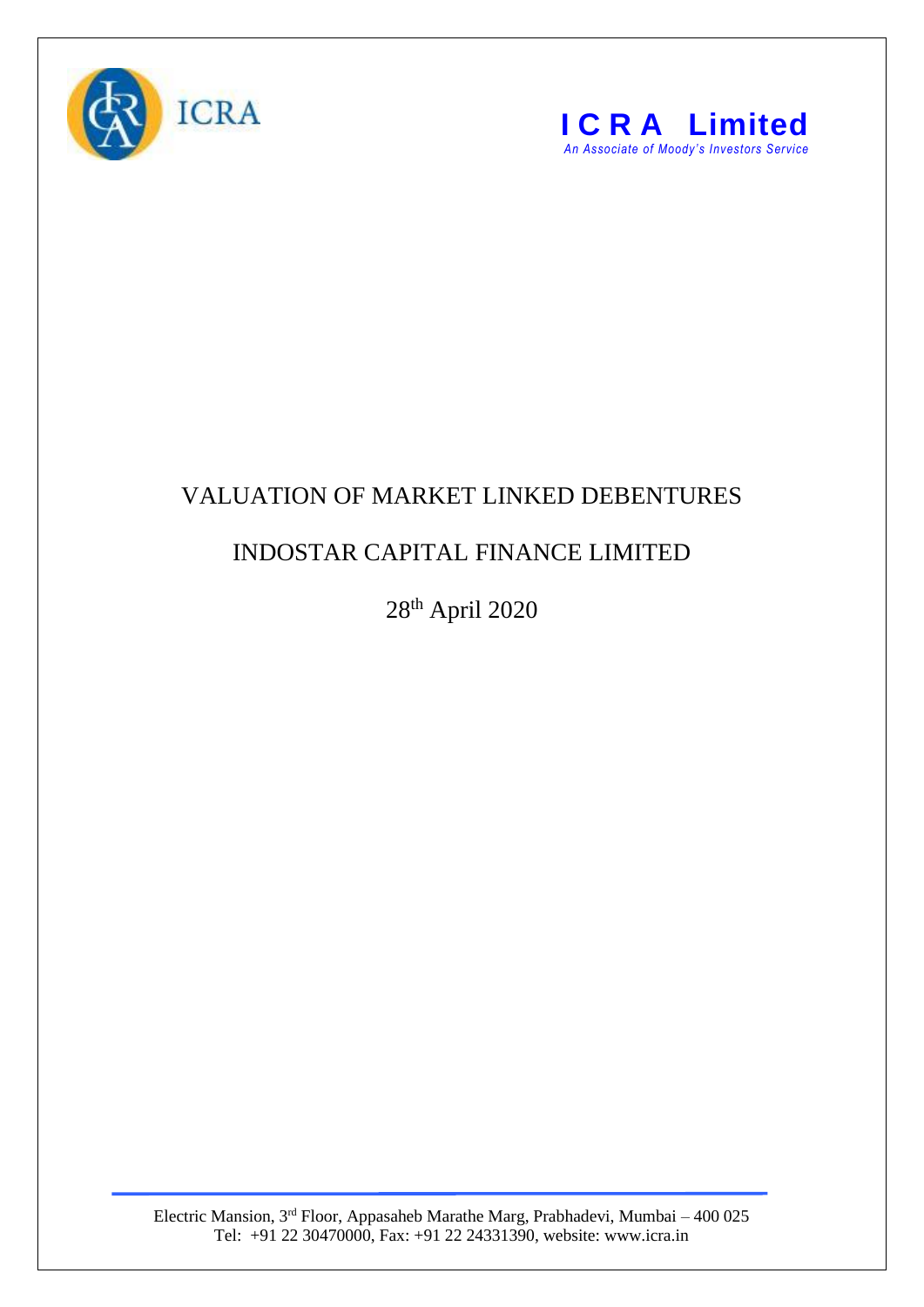



## VALUATION OF MARKET LINKED DEBENTURES

## INDOSTAR CAPITAL FINANCE LIMITED

28 th April 2020

Electric Mansion, 3<sup>rd</sup> Floor, Appasaheb Marathe Marg, Prabhadevi, Mumbai – 400 025 Tel: +91 22 30470000, Fax: +91 22 24331390, website: www.icra.in